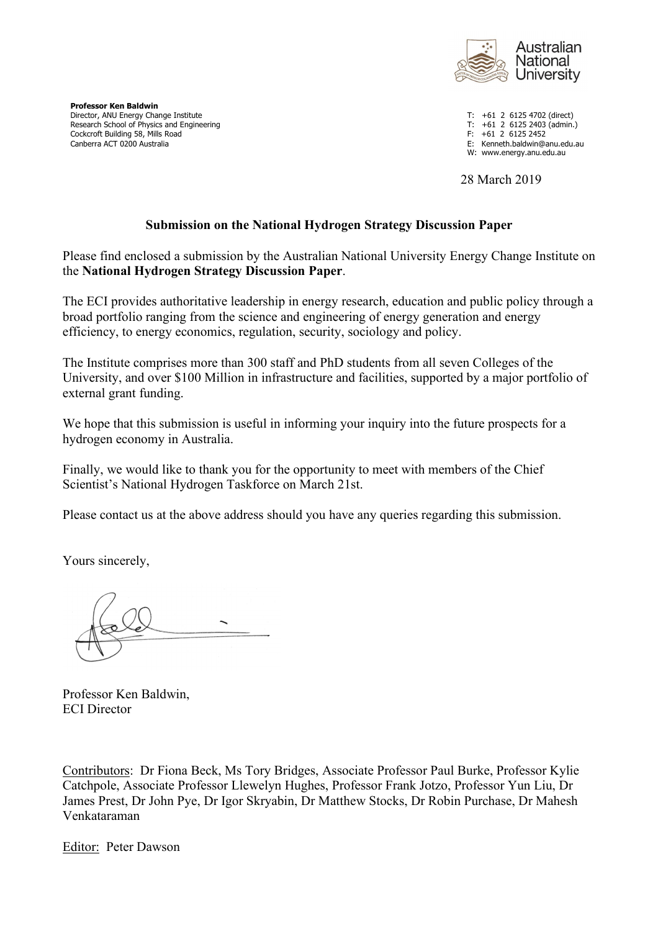

**Professor Ken Baldwin** Director, ANU Energy Change Institute Theory of the Second Library of the Second Library of the Second Library<br>
Director, ANU Energy Change Institute Theory of the Second Library of the Second Library of the Second Change Research School of Physics and Engineering Theorem 2012 Control of Physics and Engineering T: +61 2 6125 2403<br>Cockcroft Building 58. Mills Road Cockcroft Building 58, Mills Road<br>Canberra ACT 0200 Australia

E: Kenneth.baldwin@anu.edu.au

W: www.energy.anu.edu.au

28 March 2019

#### **Submission on the National Hydrogen Strategy Discussion Paper**

Please find enclosed a submission by the Australian National University Energy Change Institute on the **National Hydrogen Strategy Discussion Paper**.

The ECI provides authoritative leadership in energy research, education and public policy through a broad portfolio ranging from the science and engineering of energy generation and energy efficiency, to energy economics, regulation, security, sociology and policy.

The Institute comprises more than 300 staff and PhD students from all seven Colleges of the University, and over \$100 Million in infrastructure and facilities, supported by a major portfolio of external grant funding.

We hope that this submission is useful in informing your inquiry into the future prospects for a hydrogen economy in Australia.

Finally, we would like to thank you for the opportunity to meet with members of the Chief Scientist's National Hydrogen Taskforce on March 21st.

Please contact us at the above address should you have any queries regarding this submission.

Yours sincerely,

Professor Ken Baldwin, ECI Director

Contributors: Dr Fiona Beck, Ms Tory Bridges, Associate Professor Paul Burke, Professor Kylie Catchpole, Associate Professor Llewelyn Hughes, Professor Frank Jotzo, Professor Yun Liu, Dr James Prest, Dr John Pye, Dr Igor Skryabin, Dr Matthew Stocks, Dr Robin Purchase, Dr Mahesh Venkataraman

Editor: Peter Dawson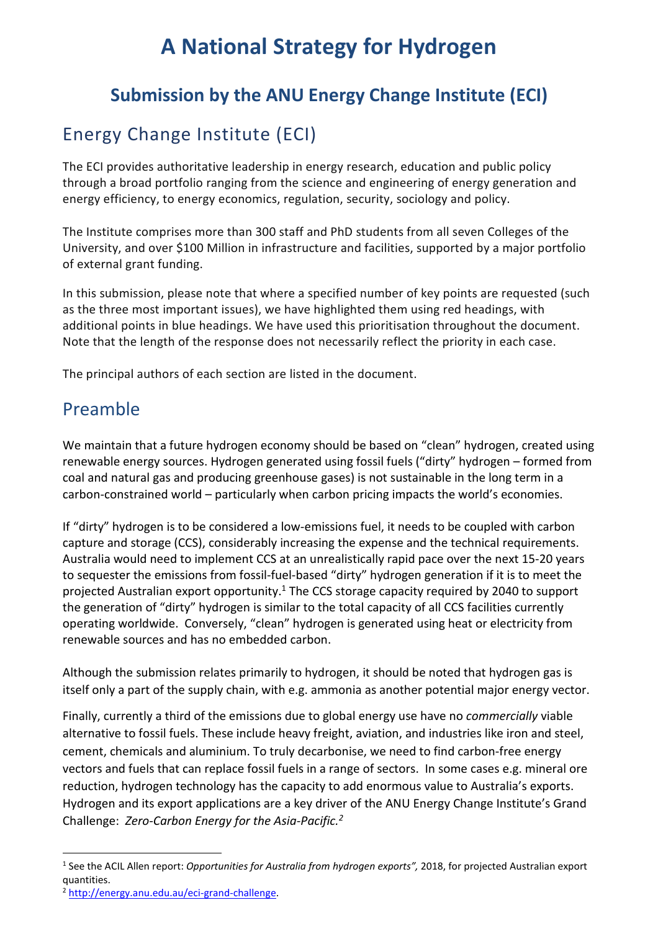# **A National Strategy for Hydrogen**

## **Submission by the ANU Energy Change Institute (ECI)**

## Energy Change Institute (ECI)

The ECI provides authoritative leadership in energy research, education and public policy through a broad portfolio ranging from the science and engineering of energy generation and energy efficiency, to energy economics, regulation, security, sociology and policy.

The Institute comprises more than 300 staff and PhD students from all seven Colleges of the University, and over \$100 Million in infrastructure and facilities, supported by a major portfolio of external grant funding.

In this submission, please note that where a specified number of key points are requested (such as the three most important issues), we have highlighted them using red headings, with additional points in blue headings. We have used this prioritisation throughout the document. Note that the length of the response does not necessarily reflect the priority in each case.

The principal authors of each section are listed in the document.

## Preamble

We maintain that a future hydrogen economy should be based on "clean" hydrogen, created using renewable energy sources. Hydrogen generated using fossil fuels ("dirty" hydrogen – formed from coal and natural gas and producing greenhouse gases) is not sustainable in the long term in a carbon-constrained world – particularly when carbon pricing impacts the world's economies.

If "dirty" hydrogen is to be considered a low-emissions fuel, it needs to be coupled with carbon capture and storage (CCS), considerably increasing the expense and the technical requirements. Australia would need to implement CCS at an unrealistically rapid pace over the next 15-20 years to sequester the emissions from fossil-fuel-based "dirty" hydrogen generation if it is to meet the projected Australian export opportunity.<sup>1</sup> The CCS storage capacity required by 2040 to support the generation of "dirty" hydrogen is similar to the total capacity of all CCS facilities currently operating worldwide. Conversely, "clean" hydrogen is generated using heat or electricity from renewable sources and has no embedded carbon.

Although the submission relates primarily to hydrogen, it should be noted that hydrogen gas is itself only a part of the supply chain, with e.g. ammonia as another potential major energy vector.

Finally, currently a third of the emissions due to global energy use have no *commercially* viable alternative to fossil fuels. These include heavy freight, aviation, and industries like iron and steel, cement, chemicals and aluminium. To truly decarbonise, we need to find carbon-free energy vectors and fuels that can replace fossil fuels in a range of sectors. In some cases e.g. mineral ore reduction, hydrogen technology has the capacity to add enormous value to Australia's exports. Hydrogen and its export applications are a key driver of the ANU Energy Change Institute's Grand Challenge: *Zero-Carbon Energy for the Asia-Pacific. 2*

<sup>1</sup> See the ACIL Allen report: *Opportunities for Australia from hydrogen exports",* 2018, for projected Australian export quantities.

<sup>2</sup> http://energy.anu.edu.au/eci-grand-challenge.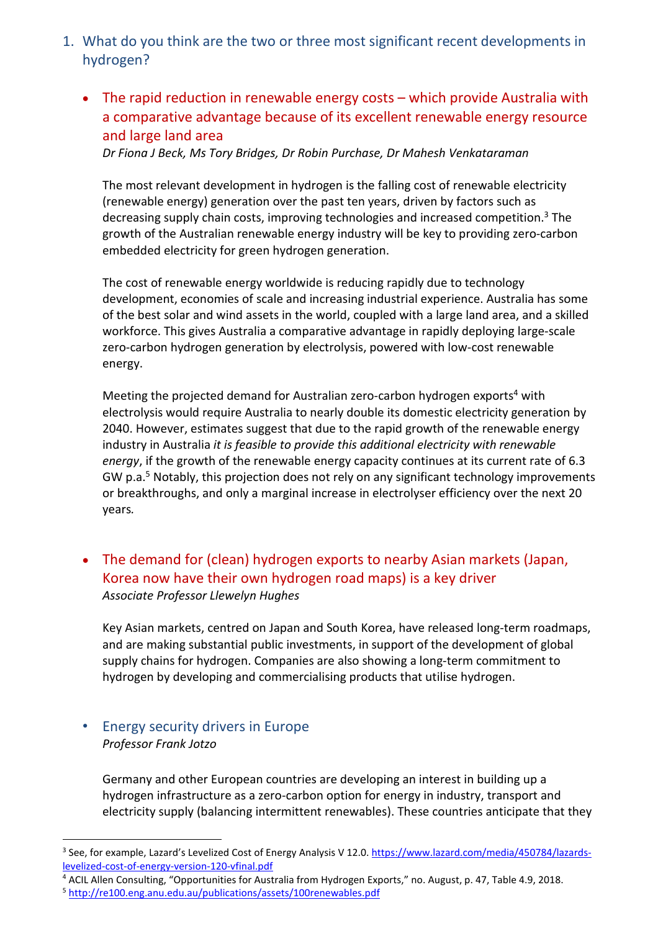- 1. What do you think are the two or three most significant recent developments in hydrogen?
	- The rapid reduction in renewable energy costs which provide Australia with a comparative advantage because of its excellent renewable energy resource and large land area

*Dr Fiona J Beck, Ms Tory Bridges, Dr Robin Purchase, Dr Mahesh Venkataraman*

The most relevant development in hydrogen is the falling cost of renewable electricity (renewable energy) generation over the past ten years, driven by factors such as decreasing supply chain costs, improving technologies and increased competition.<sup>3</sup> The growth of the Australian renewable energy industry will be key to providing zero-carbon embedded electricity for green hydrogen generation.

The cost of renewable energy worldwide is reducing rapidly due to technology development, economies of scale and increasing industrial experience. Australia has some of the best solar and wind assets in the world, coupled with a large land area, and a skilled workforce. This gives Australia a comparative advantage in rapidly deploying large-scale zero-carbon hydrogen generation by electrolysis, powered with low-cost renewable energy.

Meeting the projected demand for Australian zero-carbon hydrogen exports<sup>4</sup> with electrolysis would require Australia to nearly double its domestic electricity generation by 2040. However, estimates suggest that due to the rapid growth of the renewable energy industry in Australia *it is feasible to provide this additional electricity with renewable energy*, if the growth of the renewable energy capacity continues at its current rate of 6.3 GW p.a.<sup>5</sup> Notably, this projection does not rely on any significant technology improvements or breakthroughs, and only a marginal increase in electrolyser efficiency over the next 20 years*.* 

• The demand for (clean) hydrogen exports to nearby Asian markets (Japan, Korea now have their own hydrogen road maps) is a key driver *Associate Professor Llewelyn Hughes*

Key Asian markets, centred on Japan and South Korea, have released long-term roadmaps, and are making substantial public investments, in support of the development of global supply chains for hydrogen. Companies are also showing a long-term commitment to hydrogen by developing and commercialising products that utilise hydrogen.

#### • Energy security drivers in Europe *Professor Frank Jotzo*

 $\overline{a}$ 

Germany and other European countries are developing an interest in building up a hydrogen infrastructure as a zero-carbon option for energy in industry, transport and electricity supply (balancing intermittent renewables). These countries anticipate that they

<sup>&</sup>lt;sup>3</sup> See, for example, Lazard's Levelized Cost of Energy Analysis V 12.0. https://www.lazard.com/media/450784/lazardslevelized-cost-of-energy-version-120-vfinal.pdf

<sup>4</sup> ACIL Allen Consulting, "Opportunities for Australia from Hydrogen Exports," no. August, p. 47, Table 4.9, 2018.

<sup>5</sup> http://re100.eng.anu.edu.au/publications/assets/100renewables.pdf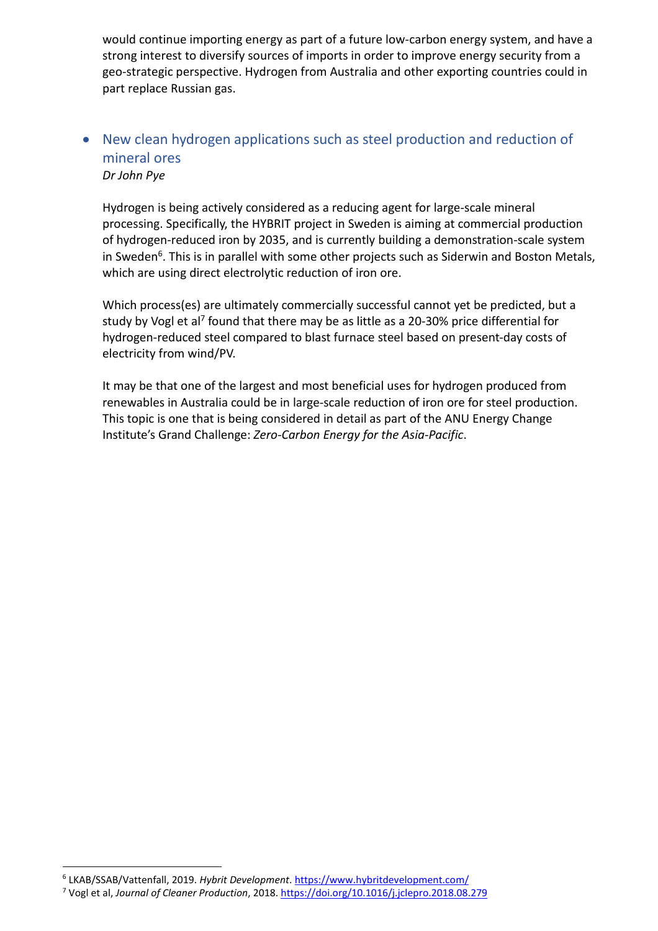would continue importing energy as part of a future low-carbon energy system, and have a strong interest to diversify sources of imports in order to improve energy security from a geo-strategic perspective. Hydrogen from Australia and other exporting countries could in part replace Russian gas.

## • New clean hydrogen applications such as steel production and reduction of mineral ores *Dr John Pye*

Hydrogen is being actively considered as a reducing agent for large-scale mineral processing. Specifically, the HYBRIT project in Sweden is aiming at commercial production of hydrogen-reduced iron by 2035, and is currently building a demonstration-scale system in Sweden<sup>6</sup>. This is in parallel with some other projects such as Siderwin and Boston Metals, which are using direct electrolytic reduction of iron ore.

Which process(es) are ultimately commercially successful cannot yet be predicted, but a study by Vogl et al<sup>7</sup> found that there may be as little as a 20-30% price differential for hydrogen-reduced steel compared to blast furnace steel based on present-day costs of electricity from wind/PV.

It may be that one of the largest and most beneficial uses for hydrogen produced from renewables in Australia could be in large-scale reduction of iron ore for steel production. This topic is one that is being considered in detail as part of the ANU Energy Change Institute's Grand Challenge: *Zero-Carbon Energy for the Asia-Pacific*.

<sup>6</sup> LKAB/SSAB/Vattenfall, 2019. *Hybrit Development*. https://www.hybritdevelopment.com/

<sup>7</sup> Vogl et al, *Journal of Cleaner Production*, 2018. https://doi.org/10.1016/j.jclepro.2018.08.279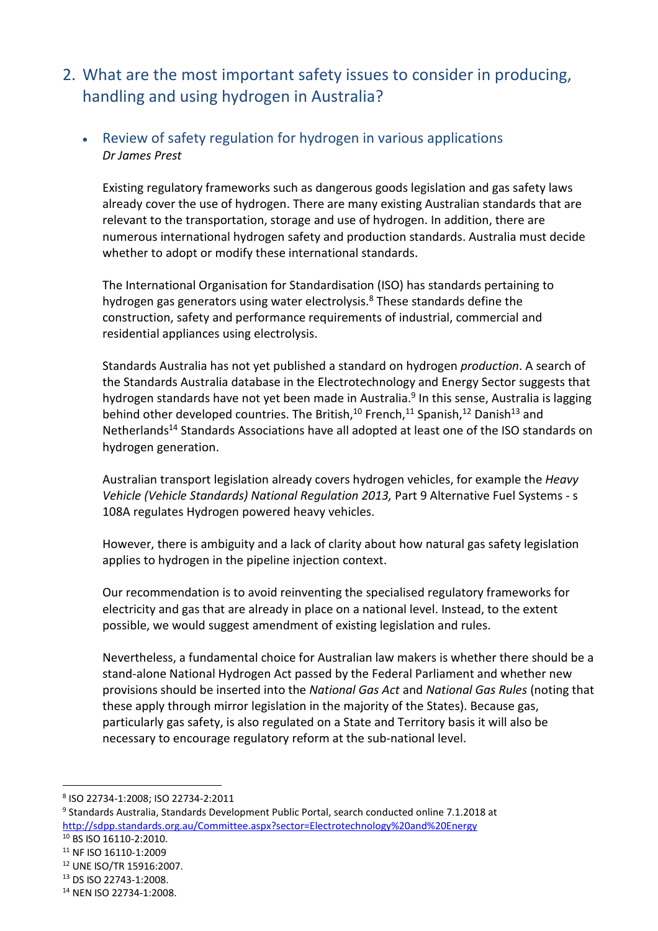2. What are the most important safety issues to consider in producing, handling and using hydrogen in Australia?

## • Review of safety regulation for hydrogen in various applications *Dr James Prest*

Existing regulatory frameworks such as dangerous goods legislation and gas safety laws already cover the use of hydrogen. There are many existing Australian standards that are relevant to the transportation, storage and use of hydrogen. In addition, there are numerous international hydrogen safety and production standards. Australia must decide whether to adopt or modify these international standards.

The International Organisation for Standardisation (ISO) has standards pertaining to hydrogen gas generators using water electrolysis.<sup>8</sup> These standards define the construction, safety and performance requirements of industrial, commercial and residential appliances using electrolysis.

Standards Australia has not yet published a standard on hydrogen *production*. A search of the Standards Australia database in the Electrotechnology and Energy Sector suggests that hydrogen standards have not yet been made in Australia.<sup>9</sup> In this sense, Australia is lagging behind other developed countries. The British,  $10$  French,  $11$  Spanish,  $12$  Danish  $13$  and Netherlands<sup>14</sup> Standards Associations have all adopted at least one of the ISO standards on hydrogen generation.

Australian transport legislation already covers hydrogen vehicles, for example the *Heavy Vehicle (Vehicle Standards) National Regulation 2013,* Part 9 Alternative Fuel Systems - s 108A regulates Hydrogen powered heavy vehicles.

However, there is ambiguity and a lack of clarity about how natural gas safety legislation applies to hydrogen in the pipeline injection context.

Our recommendation is to avoid reinventing the specialised regulatory frameworks for electricity and gas that are already in place on a national level. Instead, to the extent possible, we would suggest amendment of existing legislation and rules.

Nevertheless, a fundamental choice for Australian law makers is whether there should be a stand-alone National Hydrogen Act passed by the Federal Parliament and whether new provisions should be inserted into the *National Gas Act* and *National Gas Rules* (noting that these apply through mirror legislation in the majority of the States). Because gas, particularly gas safety, is also regulated on a State and Territory basis it will also be necessary to encourage regulatory reform at the sub-national level.

<sup>8</sup> ISO 22734-1:2008; ISO 22734-2:2011

<sup>9</sup> Standards Australia, Standards Development Public Portal, search conducted online 7.1.2018 at http://sdpp.standards.org.au/Committee.aspx?sector=Electrotechnology%20and%20Energy

<sup>10</sup> BS ISO 16110-2:2010.

<sup>11</sup> NF ISO 16110-1:2009

<sup>12</sup> UNE ISO/TR 15916:2007.

<sup>13</sup> DS ISO 22743-1:2008.

<sup>14</sup> NEN ISO 22734-1:2008.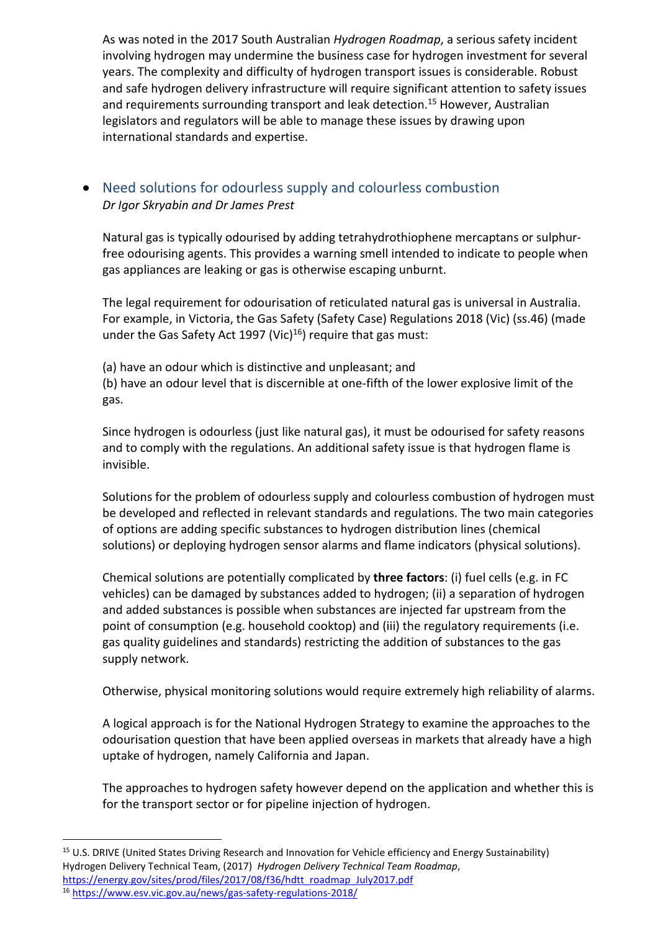As was noted in the 2017 South Australian *Hydrogen Roadmap*, a serious safety incident involving hydrogen may undermine the business case for hydrogen investment for several years. The complexity and difficulty of hydrogen transport issues is considerable. Robust and safe hydrogen delivery infrastructure will require significant attention to safety issues and requirements surrounding transport and leak detection.<sup>15</sup> However, Australian legislators and regulators will be able to manage these issues by drawing upon international standards and expertise.

## • Need solutions for odourless supply and colourless combustion *Dr Igor Skryabin and Dr James Prest*

Natural gas is typically odourised by adding tetrahydrothiophene mercaptans or sulphurfree odourising agents. This provides a warning smell intended to indicate to people when gas appliances are leaking or gas is otherwise escaping unburnt.

The legal requirement for odourisation of reticulated natural gas is universal in Australia. For example, in Victoria, the Gas Safety (Safety Case) Regulations 2018 (Vic) (ss.46) (made under the Gas Safety Act 1997 (Vic)<sup>16</sup>) require that gas must:

(a) have an odour which is distinctive and unpleasant; and (b) have an odour level that is discernible at one-fifth of the lower explosive limit of the gas.

Since hydrogen is odourless (just like natural gas), it must be odourised for safety reasons and to comply with the regulations. An additional safety issue is that hydrogen flame is invisible.

Solutions for the problem of odourless supply and colourless combustion of hydrogen must be developed and reflected in relevant standards and regulations. The two main categories of options are adding specific substances to hydrogen distribution lines (chemical solutions) or deploying hydrogen sensor alarms and flame indicators (physical solutions).

Chemical solutions are potentially complicated by **three factors**: (i) fuel cells (e.g. in FC vehicles) can be damaged by substances added to hydrogen; (ii) a separation of hydrogen and added substances is possible when substances are injected far upstream from the point of consumption (e.g. household cooktop) and (iii) the regulatory requirements (i.e. gas quality guidelines and standards) restricting the addition of substances to the gas supply network.

Otherwise, physical monitoring solutions would require extremely high reliability of alarms.

A logical approach is for the National Hydrogen Strategy to examine the approaches to the odourisation question that have been applied overseas in markets that already have a high uptake of hydrogen, namely California and Japan.

The approaches to hydrogen safety however depend on the application and whether this is for the transport sector or for pipeline injection of hydrogen.

<sup>&</sup>lt;sup>15</sup> U.S. DRIVE (United States Driving Research and Innovation for Vehicle efficiency and Energy Sustainability) Hydrogen Delivery Technical Team, (2017) *Hydrogen Delivery Technical Team Roadmap*, https://energy.gov/sites/prod/files/2017/08/f36/hdtt\_roadmap\_July2017.pdf

<sup>16</sup> https://www.esv.vic.gov.au/news/gas-safety-regulations-2018/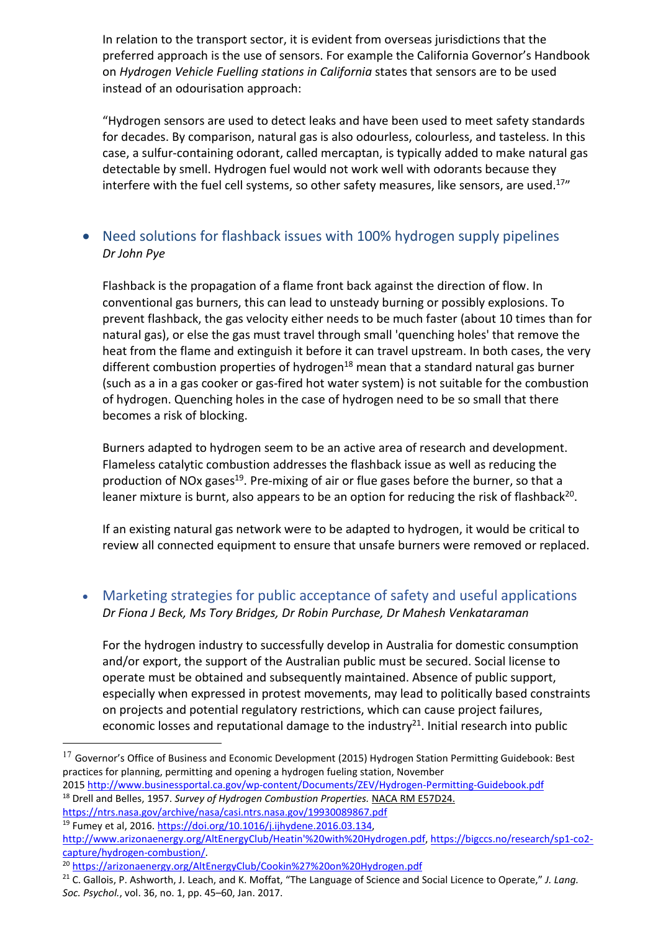In relation to the transport sector, it is evident from overseas jurisdictions that the preferred approach is the use of sensors. For example the California Governor's Handbook on *Hydrogen Vehicle Fuelling stations in California* states that sensors are to be used instead of an odourisation approach:

"Hydrogen sensors are used to detect leaks and have been used to meet safety standards for decades. By comparison, natural gas is also odourless, colourless, and tasteless. In this case, a sulfur-containing odorant, called mercaptan, is typically added to make natural gas detectable by smell. Hydrogen fuel would not work well with odorants because they interfere with the fuel cell systems, so other safety measures, like sensors, are used.<sup>17</sup>"

## • Need solutions for flashback issues with 100% hydrogen supply pipelines *Dr John Pye*

Flashback is the propagation of a flame front back against the direction of flow. In conventional gas burners, this can lead to unsteady burning or possibly explosions. To prevent flashback, the gas velocity either needs to be much faster (about 10 times than for natural gas), or else the gas must travel through small 'quenching holes' that remove the heat from the flame and extinguish it before it can travel upstream. In both cases, the very different combustion properties of hydrogen<sup>18</sup> mean that a standard natural gas burner (such as a in a gas cooker or gas-fired hot water system) is not suitable for the combustion of hydrogen. Quenching holes in the case of hydrogen need to be so small that there becomes a risk of blocking.

Burners adapted to hydrogen seem to be an active area of research and development. Flameless catalytic combustion addresses the flashback issue as well as reducing the production of NOx gases<sup>19</sup>. Pre-mixing of air or flue gases before the burner, so that a leaner mixture is burnt, also appears to be an option for reducing the risk of flashback<sup>20</sup>.

If an existing natural gas network were to be adapted to hydrogen, it would be critical to review all connected equipment to ensure that unsafe burners were removed or replaced.

• Marketing strategies for public acceptance of safety and useful applications *Dr Fiona J Beck, Ms Tory Bridges, Dr Robin Purchase, Dr Mahesh Venkataraman*

For the hydrogen industry to successfully develop in Australia for domestic consumption and/or export, the support of the Australian public must be secured. Social license to operate must be obtained and subsequently maintained. Absence of public support, especially when expressed in protest movements, may lead to politically based constraints on projects and potential regulatory restrictions, which can cause project failures, economic losses and reputational damage to the industry $21$ . Initial research into public

2015 http://www.businessportal.ca.gov/wp-content/Documents/ZEV/Hydrogen-Permitting-Guidebook.pdf <sup>18</sup> Drell and Belles, 1957. *Survey of Hydrogen Combustion Properties*. NACA RM E57D24.

<sup>&</sup>lt;sup>17</sup> Governor's Office of Business and Economic Development (2015) Hydrogen Station Permitting Guidebook: Best practices for planning, permitting and opening a hydrogen fueling station, November

https://ntrs.nasa.gov/archive/nasa/casi.ntrs.nasa.gov/19930089867.pdf <sup>19</sup> Fumey et al, 2016. https://doi.org/10.1016/j.ijhydene.2016.03.134,

http://www.arizonaenergy.org/AltEnergyClub/Heatin'%20with%20Hydrogen.pdf, https://bigccs.no/research/sp1-co2 capture/hydrogen-combustion/. 20 https://arizonaenergy.org/AltEnergyClub/Cookin%27%20on%20Hydrogen.pdf

<sup>21</sup> C. Gallois, P. Ashworth, J. Leach, and K. Moffat, "The Language of Science and Social Licence to Operate," *J. Lang. Soc. Psychol.*, vol. 36, no. 1, pp. 45–60, Jan. 2017.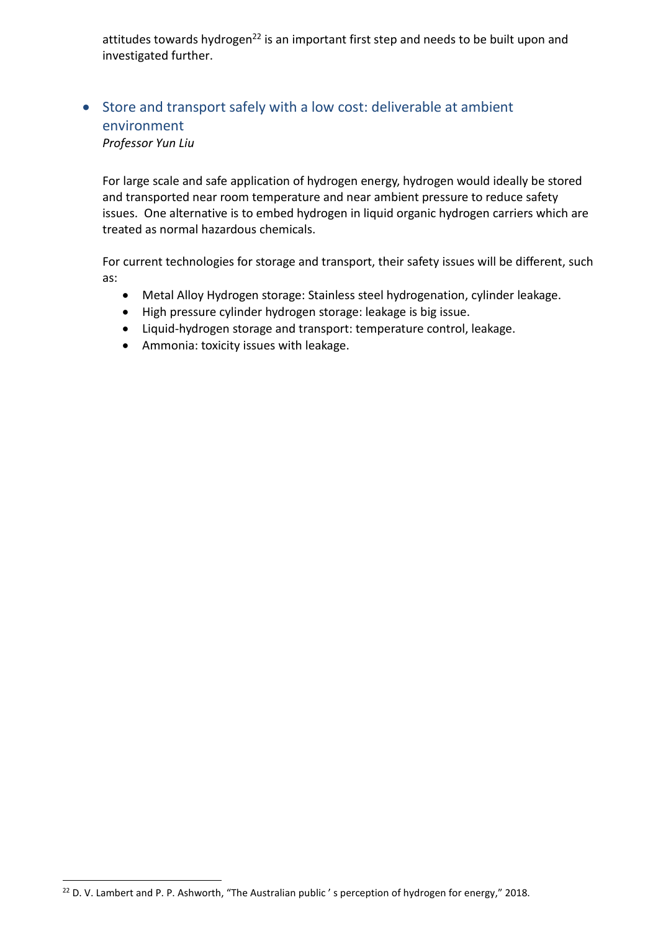attitudes towards hydrogen<sup>22</sup> is an important first step and needs to be built upon and investigated further.

## • Store and transport safely with a low cost: deliverable at ambient environment

*Professor Yun Liu*

 $\overline{a}$ 

For large scale and safe application of hydrogen energy, hydrogen would ideally be stored and transported near room temperature and near ambient pressure to reduce safety issues. One alternative is to embed hydrogen in liquid organic hydrogen carriers which are treated as normal hazardous chemicals.

For current technologies for storage and transport, their safety issues will be different, such as:

- Metal Alloy Hydrogen storage: Stainless steel hydrogenation, cylinder leakage.
- High pressure cylinder hydrogen storage: leakage is big issue.
- Liquid-hydrogen storage and transport: temperature control, leakage.
- Ammonia: toxicity issues with leakage.

<sup>&</sup>lt;sup>22</sup> D. V. Lambert and P. P. Ashworth, "The Australian public's perception of hydrogen for energy," 2018.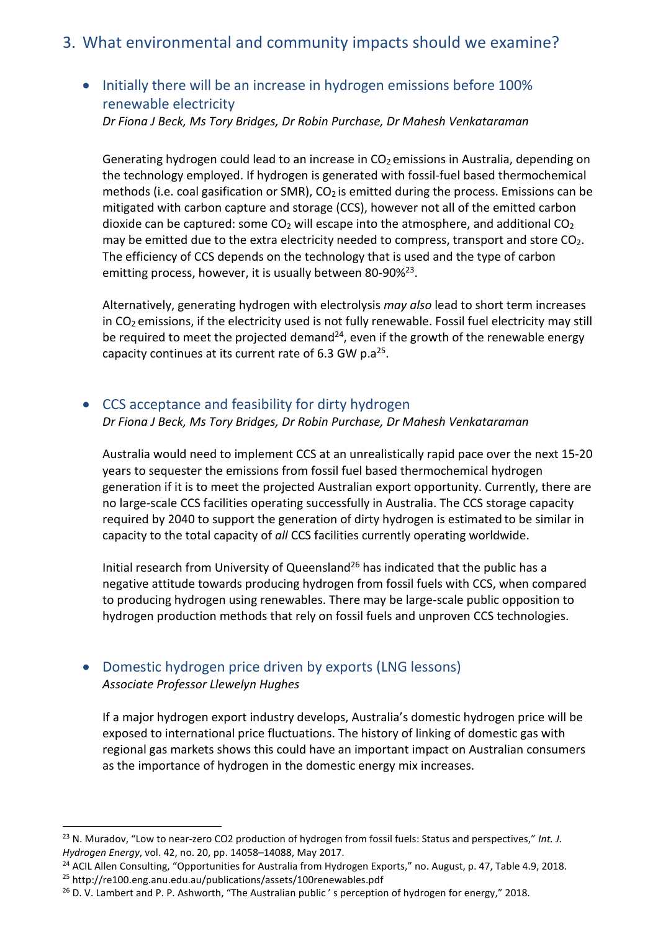## 3. What environmental and community impacts should we examine?

## • Initially there will be an increase in hydrogen emissions before 100% renewable electricity

*Dr Fiona J Beck, Ms Tory Bridges, Dr Robin Purchase, Dr Mahesh Venkataraman*

Generating hydrogen could lead to an increase in  $CO<sub>2</sub>$  emissions in Australia, depending on the technology employed. If hydrogen is generated with fossil-fuel based thermochemical methods (i.e. coal gasification or SMR),  $CO<sub>2</sub>$  is emitted during the process. Emissions can be mitigated with carbon capture and storage (CCS), however not all of the emitted carbon dioxide can be captured: some  $CO<sub>2</sub>$  will escape into the atmosphere, and additional  $CO<sub>2</sub>$ may be emitted due to the extra electricity needed to compress, transport and store CO<sub>2</sub>. The efficiency of CCS depends on the technology that is used and the type of carbon emitting process, however, it is usually between 80-90% $23$ .

Alternatively, generating hydrogen with electrolysis *may also* lead to short term increases in CO<sub>2</sub> emissions, if the electricity used is not fully renewable. Fossil fuel electricity may still be required to meet the projected demand<sup>24</sup>, even if the growth of the renewable energy capacity continues at its current rate of 6.3 GW p.a<sup>25</sup>.

## • CCS acceptance and feasibility for dirty hydrogen

*Dr Fiona J Beck, Ms Tory Bridges, Dr Robin Purchase, Dr Mahesh Venkataraman*

Australia would need to implement CCS at an unrealistically rapid pace over the next 15-20 years to sequester the emissions from fossil fuel based thermochemical hydrogen generation if it is to meet the projected Australian export opportunity. Currently, there are no large-scale CCS facilities operating successfully in Australia. The CCS storage capacity required by 2040 to support the generation of dirty hydrogen is estimated to be similar in capacity to the total capacity of *all* CCS facilities currently operating worldwide.

Initial research from University of Queensland<sup>26</sup> has indicated that the public has a negative attitude towards producing hydrogen from fossil fuels with CCS, when compared to producing hydrogen using renewables. There may be large-scale public opposition to hydrogen production methods that rely on fossil fuels and unproven CCS technologies.

## • Domestic hydrogen price driven by exports (LNG lessons) *Associate Professor Llewelyn Hughes*

 $\overline{a}$ 

If a major hydrogen export industry develops, Australia's domestic hydrogen price will be exposed to international price fluctuations. The history of linking of domestic gas with regional gas markets shows this could have an important impact on Australian consumers as the importance of hydrogen in the domestic energy mix increases.

<sup>23</sup> N. Muradov, "Low to near-zero CO2 production of hydrogen from fossil fuels: Status and perspectives," *Int. J. Hydrogen Energy*, vol. 42, no. 20, pp. 14058–14088, May 2017.

<sup>&</sup>lt;sup>24</sup> ACIL Allen Consulting, "Opportunities for Australia from Hydrogen Exports," no. August, p. 47, Table 4.9, 2018. <sup>25</sup> http://re100.eng.anu.edu.au/publications/assets/100renewables.pdf

 $26$  D. V. Lambert and P. P. Ashworth, "The Australian public's perception of hydrogen for energy," 2018.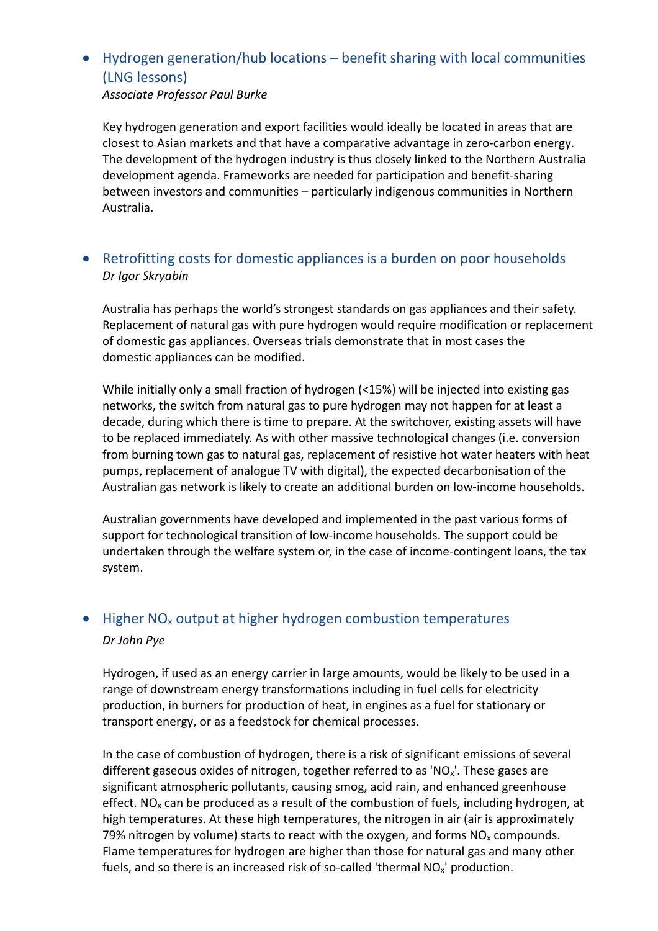## • Hydrogen generation/hub locations – benefit sharing with local communities (LNG lessons)

*Associate Professor Paul Burke*

Key hydrogen generation and export facilities would ideally be located in areas that are closest to Asian markets and that have a comparative advantage in zero-carbon energy. The development of the hydrogen industry is thus closely linked to the Northern Australia development agenda. Frameworks are needed for participation and benefit-sharing between investors and communities – particularly indigenous communities in Northern Australia.

## • Retrofitting costs for domestic appliances is a burden on poor households *Dr Igor Skryabin*

Australia has perhaps the world's strongest standards on gas appliances and their safety. Replacement of natural gas with pure hydrogen would require modification or replacement of domestic gas appliances. Overseas trials demonstrate that in most cases the domestic appliances can be modified.

While initially only a small fraction of hydrogen (<15%) will be injected into existing gas networks, the switch from natural gas to pure hydrogen may not happen for at least a decade, during which there is time to prepare. At the switchover, existing assets will have to be replaced immediately. As with other massive technological changes (i.e. conversion from burning town gas to natural gas, replacement of resistive hot water heaters with heat pumps, replacement of analogue TV with digital), the expected decarbonisation of the Australian gas network is likely to create an additional burden on low-income households.

Australian governments have developed and implemented in the past various forms of support for technological transition of low-income households. The support could be undertaken through the welfare system or, in the case of income-contingent loans, the tax system.

## • Higher  $NO<sub>x</sub>$  output at higher hydrogen combustion temperatures *Dr John Pye*

Hydrogen, if used as an energy carrier in large amounts, would be likely to be used in a range of downstream energy transformations including in fuel cells for electricity production, in burners for production of heat, in engines as a fuel for stationary or transport energy, or as a feedstock for chemical processes.

In the case of combustion of hydrogen, there is a risk of significant emissions of several different gaseous oxides of nitrogen, together referred to as 'NO<sub>x</sub>'. These gases are significant atmospheric pollutants, causing smog, acid rain, and enhanced greenhouse effect. NO<sub>x</sub> can be produced as a result of the combustion of fuels, including hydrogen, at high temperatures. At these high temperatures, the nitrogen in air (air is approximately 79% nitrogen by volume) starts to react with the oxygen, and forms  $NO<sub>x</sub>$  compounds. Flame temperatures for hydrogen are higher than those for natural gas and many other fuels, and so there is an increased risk of so-called 'thermal NO<sub>x</sub>' production.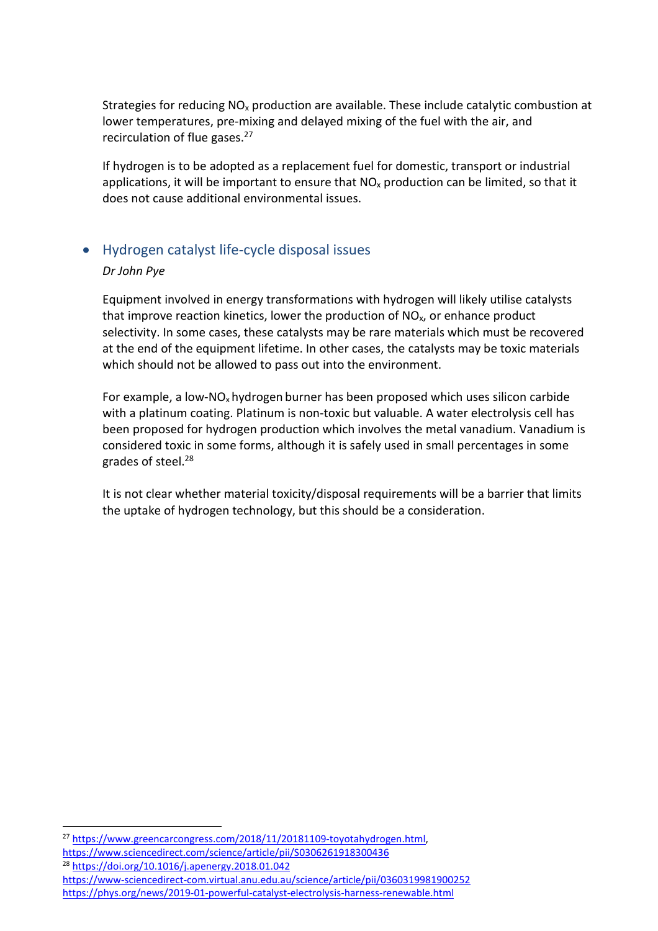Strategies for reducing  $NO<sub>x</sub>$  production are available. These include catalytic combustion at lower temperatures, pre-mixing and delayed mixing of the fuel with the air, and recirculation of flue gases.<sup>27</sup>

If hydrogen is to be adopted as a replacement fuel for domestic, transport or industrial applications, it will be important to ensure that  $NO<sub>x</sub>$  production can be limited, so that it does not cause additional environmental issues.

### • Hydrogen catalyst life-cycle disposal issues

#### *Dr John Pye*

Equipment involved in energy transformations with hydrogen will likely utilise catalysts that improve reaction kinetics, lower the production of  $NO<sub>x</sub>$ , or enhance product selectivity. In some cases, these catalysts may be rare materials which must be recovered at the end of the equipment lifetime. In other cases, the catalysts may be toxic materials which should not be allowed to pass out into the environment.

For example, a low-NO<sub>x</sub> hydrogen burner has been proposed which uses silicon carbide with a platinum coating. Platinum is non-toxic but valuable. A water electrolysis cell has been proposed for hydrogen production which involves the metal vanadium. Vanadium is considered toxic in some forms, although it is safely used in small percentages in some grades of steel.28

It is not clear whether material toxicity/disposal requirements will be a barrier that limits the uptake of hydrogen technology, but this should be a consideration.

<sup>28</sup> https://doi.org/10.1016/j.apenergy.2018.01.042

 $\overline{a}$ 

https://www-sciencedirect-com.virtual.anu.edu.au/science/article/pii/0360319981900252 https://phys.org/news/2019-01-powerful-catalyst-electrolysis-harness-renewable.html

<sup>&</sup>lt;sup>27</sup> https://www.greencarcongress.com/2018/11/20181109-toyotahydrogen.html, https://www.sciencedirect.com/science/article/pii/S0306261918300436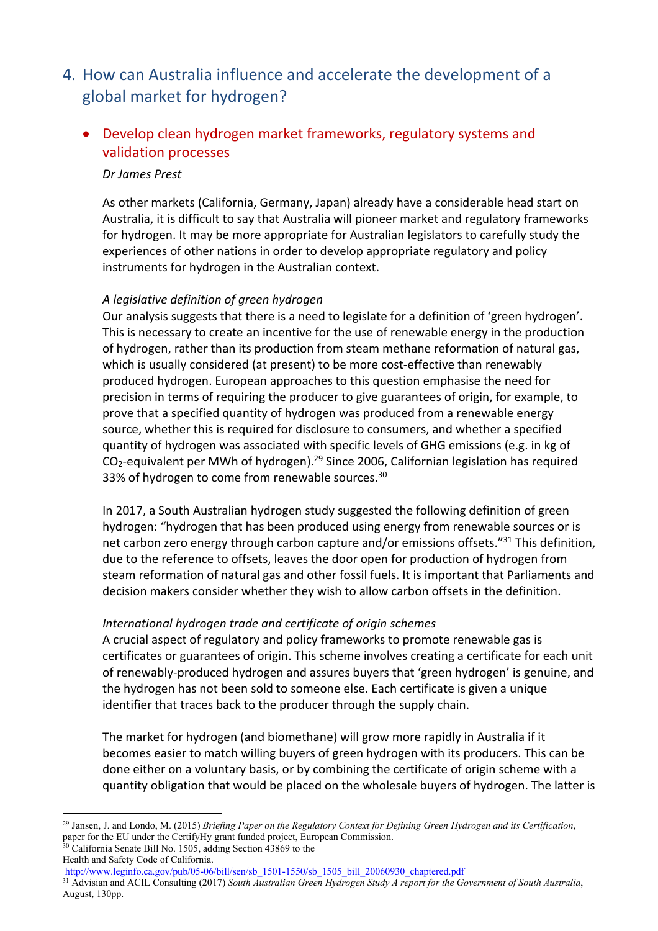- 4. How can Australia influence and accelerate the development of a global market for hydrogen?
	- Develop clean hydrogen market frameworks, regulatory systems and validation processes

#### *Dr James Prest*

As other markets (California, Germany, Japan) already have a considerable head start on Australia, it is difficult to say that Australia will pioneer market and regulatory frameworks for hydrogen. It may be more appropriate for Australian legislators to carefully study the experiences of other nations in order to develop appropriate regulatory and policy instruments for hydrogen in the Australian context.

#### *A legislative definition of green hydrogen*

Our analysis suggests that there is a need to legislate for a definition of 'green hydrogen'. This is necessary to create an incentive for the use of renewable energy in the production of hydrogen, rather than its production from steam methane reformation of natural gas, which is usually considered (at present) to be more cost-effective than renewably produced hydrogen. European approaches to this question emphasise the need for precision in terms of requiring the producer to give guarantees of origin, for example, to prove that a specified quantity of hydrogen was produced from a renewable energy source, whether this is required for disclosure to consumers, and whether a specified quantity of hydrogen was associated with specific levels of GHG emissions (e.g. in kg of  $CO<sub>2</sub>$ -equivalent per MWh of hydrogen).<sup>29</sup> Since 2006, Californian legislation has required 33% of hydrogen to come from renewable sources.<sup>30</sup>

In 2017, a South Australian hydrogen study suggested the following definition of green hydrogen: "hydrogen that has been produced using energy from renewable sources or is net carbon zero energy through carbon capture and/or emissions offsets."<sup>31</sup> This definition, due to the reference to offsets, leaves the door open for production of hydrogen from steam reformation of natural gas and other fossil fuels. It is important that Parliaments and decision makers consider whether they wish to allow carbon offsets in the definition.

#### *International hydrogen trade and certificate of origin schemes*

A crucial aspect of regulatory and policy frameworks to promote renewable gas is certificates or guarantees of origin. This scheme involves creating a certificate for each unit of renewably-produced hydrogen and assures buyers that 'green hydrogen' is genuine, and the hydrogen has not been sold to someone else. Each certificate is given a unique identifier that traces back to the producer through the supply chain.

The market for hydrogen (and biomethane) will grow more rapidly in Australia if it becomes easier to match willing buyers of green hydrogen with its producers. This can be done either on a voluntary basis, or by combining the certificate of origin scheme with a quantity obligation that would be placed on the wholesale buyers of hydrogen. The latter is

 <sup>29</sup> Jansen, J. and Londo, M. (2015) *Briefing Paper on the Regulatory Context for Defining Green Hydrogen and its Certification*, paper for the EU under the CertifyHy grant funded project, European Commission. <sup>30</sup> California Senate Bill No. 1505, adding Section 43869 to the

Health and Safety Code of California.

http://www.leginfo.ca.gov/pub/05-06/bill/sen/sb\_1501-1550/sb\_1505\_bill\_20060930\_chaptered.pdf

<sup>&</sup>lt;sup>31</sup> Advisian and ACIL Consulting (2017) South Australian Green Hydrogen Study A report for the Government of South Australia, August, 130pp.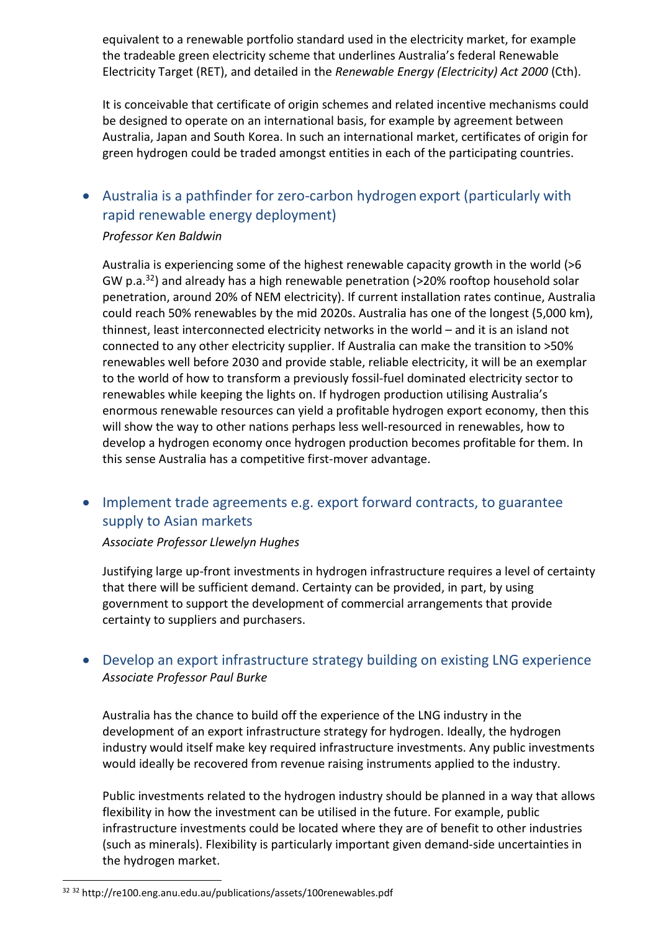equivalent to a renewable portfolio standard used in the electricity market, for example the tradeable green electricity scheme that underlines Australia's federal Renewable Electricity Target (RET), and detailed in the *Renewable Energy (Electricity) Act 2000* (Cth).

It is conceivable that certificate of origin schemes and related incentive mechanisms could be designed to operate on an international basis, for example by agreement between Australia, Japan and South Korea. In such an international market, certificates of origin for green hydrogen could be traded amongst entities in each of the participating countries.

## • Australia is a pathfinder for zero-carbon hydrogen export (particularly with rapid renewable energy deployment)

#### *Professor Ken Baldwin*

Australia is experiencing some of the highest renewable capacity growth in the world (>6 GW p.a.<sup>32</sup>) and already has a high renewable penetration ( $>$ 20% rooftop household solar penetration, around 20% of NEM electricity). If current installation rates continue, Australia could reach 50% renewables by the mid 2020s. Australia has one of the longest (5,000 km), thinnest, least interconnected electricity networks in the world – and it is an island not connected to any other electricity supplier. If Australia can make the transition to >50% renewables well before 2030 and provide stable, reliable electricity, it will be an exemplar to the world of how to transform a previously fossil-fuel dominated electricity sector to renewables while keeping the lights on. If hydrogen production utilising Australia's enormous renewable resources can yield a profitable hydrogen export economy, then this will show the way to other nations perhaps less well-resourced in renewables, how to develop a hydrogen economy once hydrogen production becomes profitable for them. In this sense Australia has a competitive first-mover advantage.

## • Implement trade agreements e.g. export forward contracts, to guarantee supply to Asian markets

#### *Associate Professor Llewelyn Hughes*

Justifying large up-front investments in hydrogen infrastructure requires a level of certainty that there will be sufficient demand. Certainty can be provided, in part, by using government to support the development of commercial arrangements that provide certainty to suppliers and purchasers.

## • Develop an export infrastructure strategy building on existing LNG experience *Associate Professor Paul Burke*

Australia has the chance to build off the experience of the LNG industry in the development of an export infrastructure strategy for hydrogen. Ideally, the hydrogen industry would itself make key required infrastructure investments. Any public investments would ideally be recovered from revenue raising instruments applied to the industry.

Public investments related to the hydrogen industry should be planned in a way that allows flexibility in how the investment can be utilised in the future. For example, public infrastructure investments could be located where they are of benefit to other industries (such as minerals). Flexibility is particularly important given demand-side uncertainties in the hydrogen market.

<sup>32</sup> <sup>32</sup> http://re100.eng.anu.edu.au/publications/assets/100renewables.pdf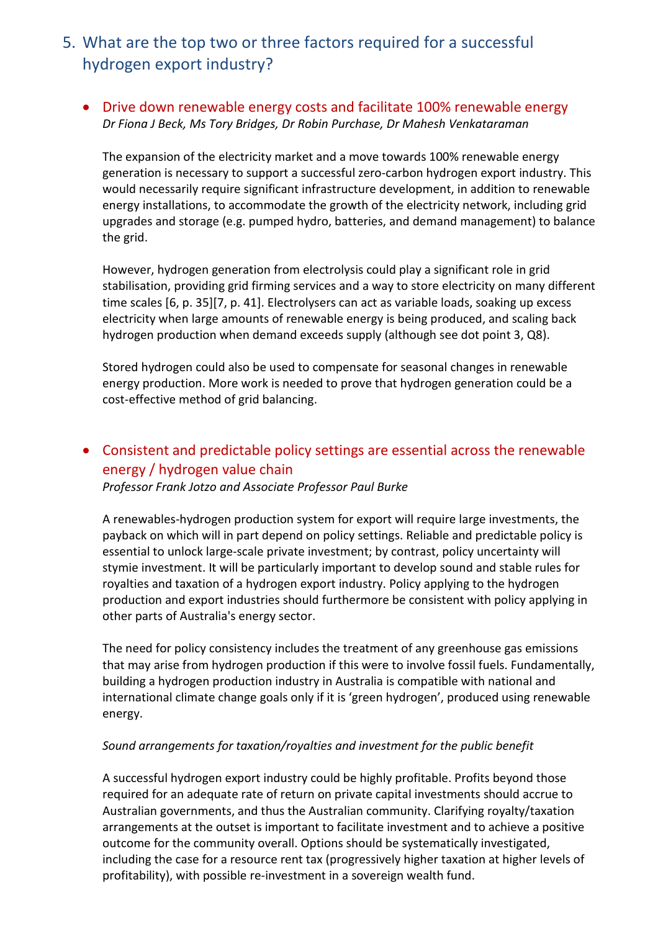## 5. What are the top two or three factors required for a successful hydrogen export industry?

### • Drive down renewable energy costs and facilitate 100% renewable energy *Dr Fiona J Beck, Ms Tory Bridges, Dr Robin Purchase, Dr Mahesh Venkataraman*

The expansion of the electricity market and a move towards 100% renewable energy generation is necessary to support a successful zero-carbon hydrogen export industry. This would necessarily require significant infrastructure development, in addition to renewable energy installations, to accommodate the growth of the electricity network, including grid upgrades and storage (e.g. pumped hydro, batteries, and demand management) to balance the grid.

However, hydrogen generation from electrolysis could play a significant role in grid stabilisation, providing grid firming services and a way to store electricity on many different time scales [6, p. 35][7, p. 41]. Electrolysers can act as variable loads, soaking up excess electricity when large amounts of renewable energy is being produced, and scaling back hydrogen production when demand exceeds supply (although see dot point 3, Q8).

Stored hydrogen could also be used to compensate for seasonal changes in renewable energy production. More work is needed to prove that hydrogen generation could be a cost-effective method of grid balancing.

## • Consistent and predictable policy settings are essential across the renewable energy / hydrogen value chain

*Professor Frank Jotzo and Associate Professor Paul Burke*

A renewables-hydrogen production system for export will require large investments, the payback on which will in part depend on policy settings. Reliable and predictable policy is essential to unlock large-scale private investment; by contrast, policy uncertainty will stymie investment. It will be particularly important to develop sound and stable rules for royalties and taxation of a hydrogen export industry. Policy applying to the hydrogen production and export industries should furthermore be consistent with policy applying in other parts of Australia's energy sector.

The need for policy consistency includes the treatment of any greenhouse gas emissions that may arise from hydrogen production if this were to involve fossil fuels. Fundamentally, building a hydrogen production industry in Australia is compatible with national and international climate change goals only if it is 'green hydrogen', produced using renewable energy.

#### *Sound arrangements for taxation/royalties and investment for the public benefit*

A successful hydrogen export industry could be highly profitable. Profits beyond those required for an adequate rate of return on private capital investments should accrue to Australian governments, and thus the Australian community. Clarifying royalty/taxation arrangements at the outset is important to facilitate investment and to achieve a positive outcome for the community overall. Options should be systematically investigated, including the case for a resource rent tax (progressively higher taxation at higher levels of profitability), with possible re-investment in a sovereign wealth fund.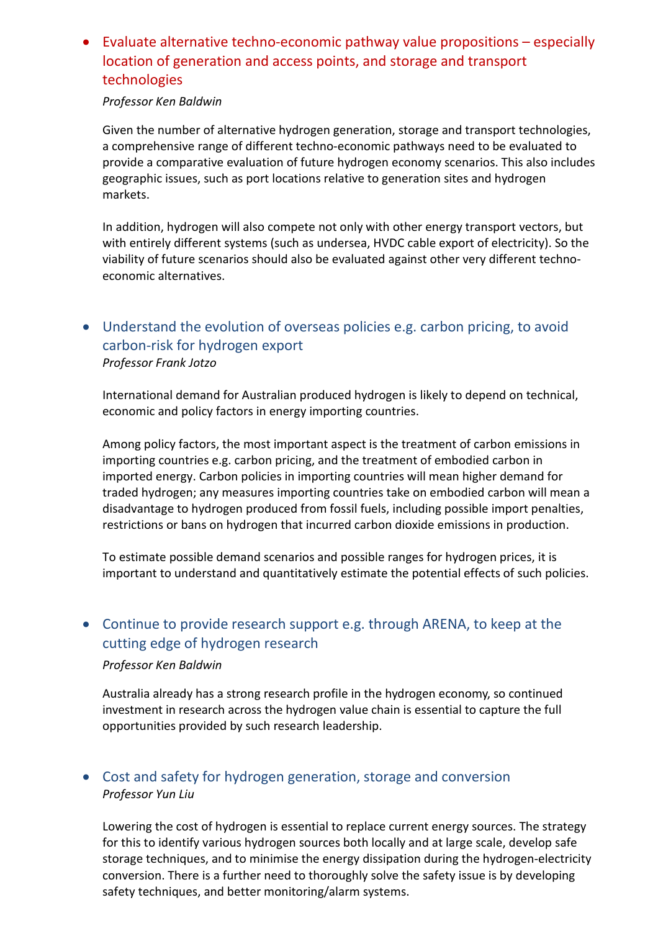## • Evaluate alternative techno-economic pathway value propositions – especially location of generation and access points, and storage and transport technologies

#### *Professor Ken Baldwin*

Given the number of alternative hydrogen generation, storage and transport technologies, a comprehensive range of different techno-economic pathways need to be evaluated to provide a comparative evaluation of future hydrogen economy scenarios. This also includes geographic issues, such as port locations relative to generation sites and hydrogen markets.

In addition, hydrogen will also compete not only with other energy transport vectors, but with entirely different systems (such as undersea, HVDC cable export of electricity). So the viability of future scenarios should also be evaluated against other very different technoeconomic alternatives.

## • Understand the evolution of overseas policies e.g. carbon pricing, to avoid carbon-risk for hydrogen export *Professor Frank Jotzo*

International demand for Australian produced hydrogen is likely to depend on technical, economic and policy factors in energy importing countries.

Among policy factors, the most important aspect is the treatment of carbon emissions in importing countries e.g. carbon pricing, and the treatment of embodied carbon in imported energy. Carbon policies in importing countries will mean higher demand for traded hydrogen; any measures importing countries take on embodied carbon will mean a disadvantage to hydrogen produced from fossil fuels, including possible import penalties, restrictions or bans on hydrogen that incurred carbon dioxide emissions in production.

To estimate possible demand scenarios and possible ranges for hydrogen prices, it is important to understand and quantitatively estimate the potential effects of such policies.

## • Continue to provide research support e.g. through ARENA, to keep at the cutting edge of hydrogen research

#### *Professor Ken Baldwin*

Australia already has a strong research profile in the hydrogen economy, so continued investment in research across the hydrogen value chain is essential to capture the full opportunities provided by such research leadership.

## • Cost and safety for hydrogen generation, storage and conversion *Professor Yun Liu*

Lowering the cost of hydrogen is essential to replace current energy sources. The strategy for this to identify various hydrogen sources both locally and at large scale, develop safe storage techniques, and to minimise the energy dissipation during the hydrogen-electricity conversion. There is a further need to thoroughly solve the safety issue is by developing safety techniques, and better monitoring/alarm systems.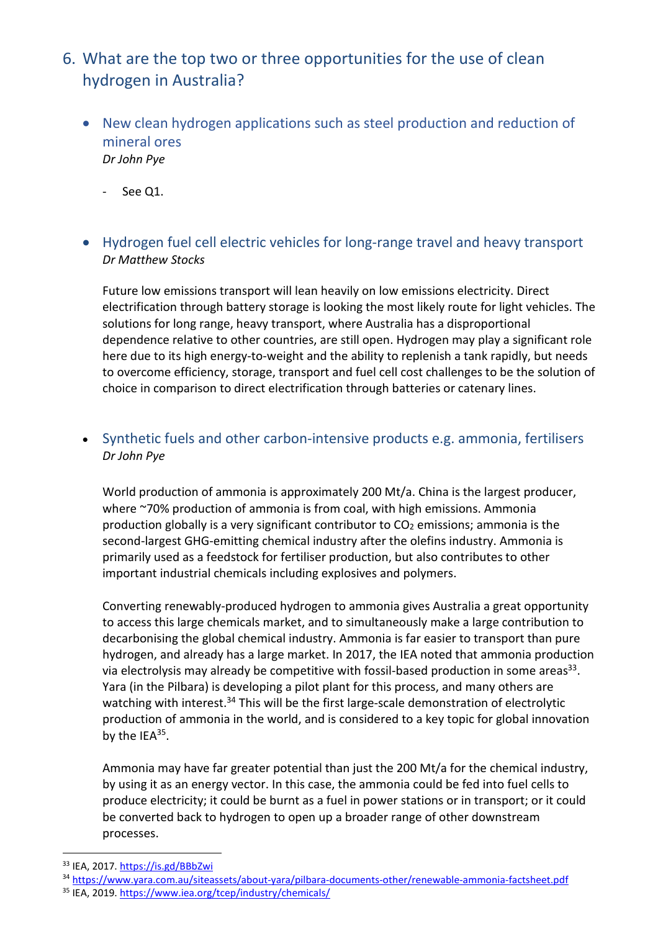- 6. What are the top two or three opportunities for the use of clean hydrogen in Australia?
	- New clean hydrogen applications such as steel production and reduction of mineral ores *Dr John Pye*
		- See Q1.
	- Hydrogen fuel cell electric vehicles for long-range travel and heavy transport *Dr Matthew Stocks*

Future low emissions transport will lean heavily on low emissions electricity. Direct electrification through battery storage is looking the most likely route for light vehicles. The solutions for long range, heavy transport, where Australia has a disproportional dependence relative to other countries, are still open. Hydrogen may play a significant role here due to its high energy-to-weight and the ability to replenish a tank rapidly, but needs to overcome efficiency, storage, transport and fuel cell cost challenges to be the solution of choice in comparison to direct electrification through batteries or catenary lines.

## • Synthetic fuels and other carbon-intensive products e.g. ammonia, fertilisers *Dr John Pye*

World production of ammonia is approximately 200 Mt/a. China is the largest producer, where ~70% production of ammonia is from coal, with high emissions. Ammonia production globally is a very significant contributor to CO2 emissions; ammonia is the second-largest GHG-emitting chemical industry after the olefins industry. Ammonia is primarily used as a feedstock for fertiliser production, but also contributes to other important industrial chemicals including explosives and polymers.

Converting renewably-produced hydrogen to ammonia gives Australia a great opportunity to access this large chemicals market, and to simultaneously make a large contribution to decarbonising the global chemical industry. Ammonia is far easier to transport than pure hydrogen, and already has a large market. In 2017, the IEA noted that ammonia production via electrolysis may already be competitive with fossil-based production in some areas<sup>33</sup>. Yara (in the Pilbara) is developing a pilot plant for this process, and many others are watching with interest.<sup>34</sup> This will be the first large-scale demonstration of electrolytic production of ammonia in the world, and is considered to a key topic for global innovation by the IEA<sup>35</sup>.

Ammonia may have far greater potential than just the 200 Mt/a for the chemical industry, by using it as an energy vector. In this case, the ammonia could be fed into fuel cells to produce electricity; it could be burnt as a fuel in power stations or in transport; or it could be converted back to hydrogen to open up a broader range of other downstream processes.

<sup>33</sup> IEA, 2017. https://is.gd/BBbZwi

- <sup>34</sup> https://www.yara.com.au/siteassets/about-yara/pilbara-documents-other/renewable-ammonia-factsheet.pdf
- <sup>35</sup> IEA, 2019. https://www.iea.org/tcep/industry/chemicals/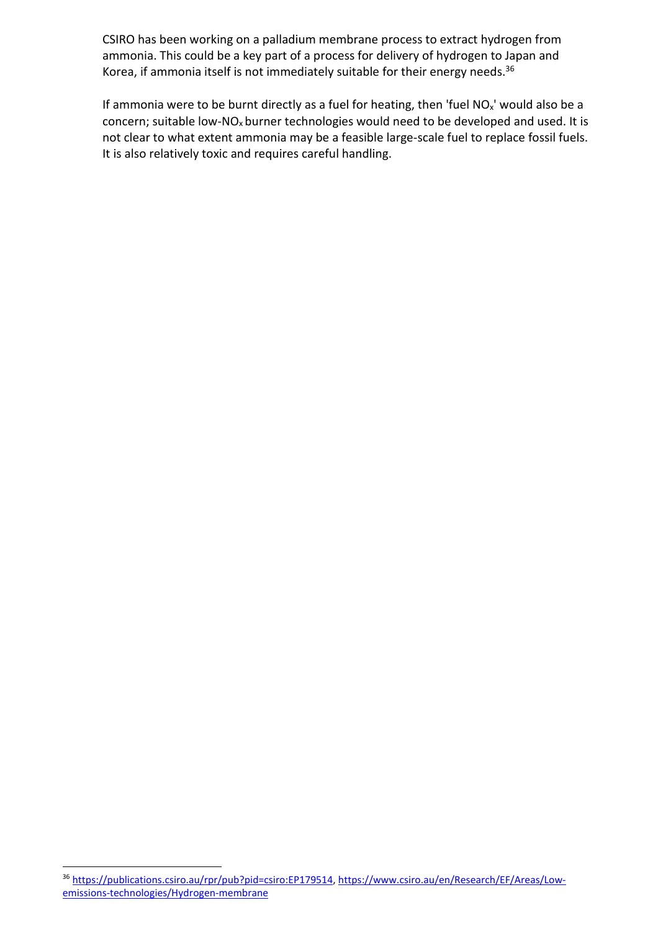CSIRO has been working on a palladium membrane process to extract hydrogen from ammonia. This could be a key part of a process for delivery of hydrogen to Japan and Korea, if ammonia itself is not immediately suitable for their energy needs.<sup>36</sup>

If ammonia were to be burnt directly as a fuel for heating, then 'fuel  $NO<sub>x</sub>$ ' would also be a concern; suitable low-NO<sub>x</sub> burner technologies would need to be developed and used. It is not clear to what extent ammonia may be a feasible large-scale fuel to replace fossil fuels. It is also relatively toxic and requires careful handling.

<sup>36</sup> https://publications.csiro.au/rpr/pub?pid=csiro:EP179514, https://www.csiro.au/en/Research/EF/Areas/Lowemissions-technologies/Hydrogen-membrane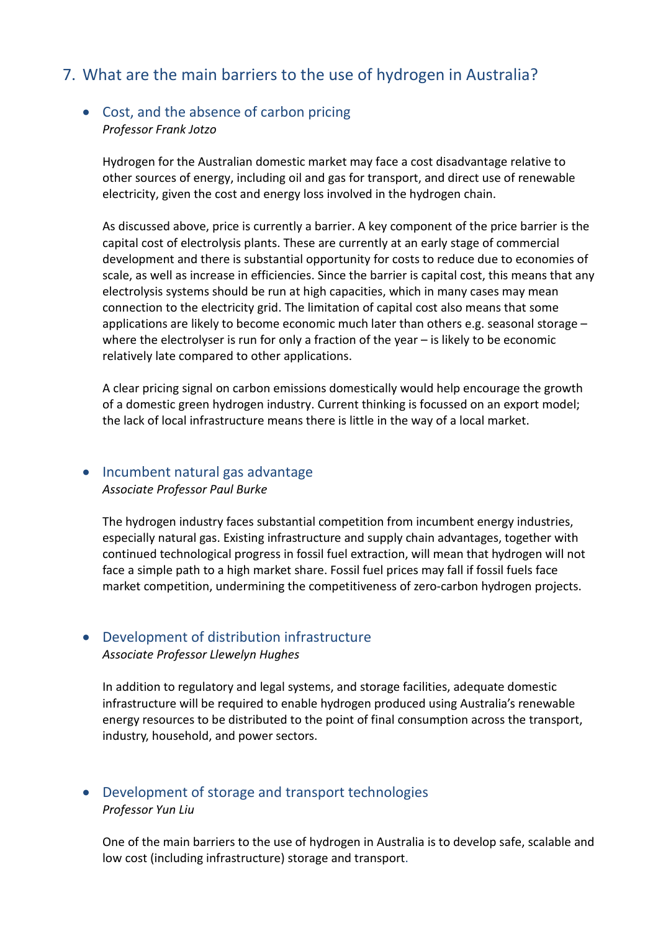## 7. What are the main barriers to the use of hydrogen in Australia?

#### • Cost, and the absence of carbon pricing *Professor Frank Jotzo*

Hydrogen for the Australian domestic market may face a cost disadvantage relative to other sources of energy, including oil and gas for transport, and direct use of renewable electricity, given the cost and energy loss involved in the hydrogen chain.

As discussed above, price is currently a barrier. A key component of the price barrier is the capital cost of electrolysis plants. These are currently at an early stage of commercial development and there is substantial opportunity for costs to reduce due to economies of scale, as well as increase in efficiencies. Since the barrier is capital cost, this means that any electrolysis systems should be run at high capacities, which in many cases may mean connection to the electricity grid. The limitation of capital cost also means that some applications are likely to become economic much later than others e.g. seasonal storage  $$ where the electrolyser is run for only a fraction of the year – is likely to be economic relatively late compared to other applications.

A clear pricing signal on carbon emissions domestically would help encourage the growth of a domestic green hydrogen industry. Current thinking is focussed on an export model; the lack of local infrastructure means there is little in the way of a local market.

## • Incumbent natural gas advantage

*Associate Professor Paul Burke*

The hydrogen industry faces substantial competition from incumbent energy industries, especially natural gas. Existing infrastructure and supply chain advantages, together with continued technological progress in fossil fuel extraction, will mean that hydrogen will not face a simple path to a high market share. Fossil fuel prices may fall if fossil fuels face market competition, undermining the competitiveness of zero-carbon hydrogen projects.

#### • Development of distribution infrastructure *Associate Professor Llewelyn Hughes*

In addition to regulatory and legal systems, and storage facilities, adequate domestic infrastructure will be required to enable hydrogen produced using Australia's renewable energy resources to be distributed to the point of final consumption across the transport, industry, household, and power sectors.

### • Development of storage and transport technologies *Professor Yun Liu*

One of the main barriers to the use of hydrogen in Australia is to develop safe, scalable and low cost (including infrastructure) storage and transport.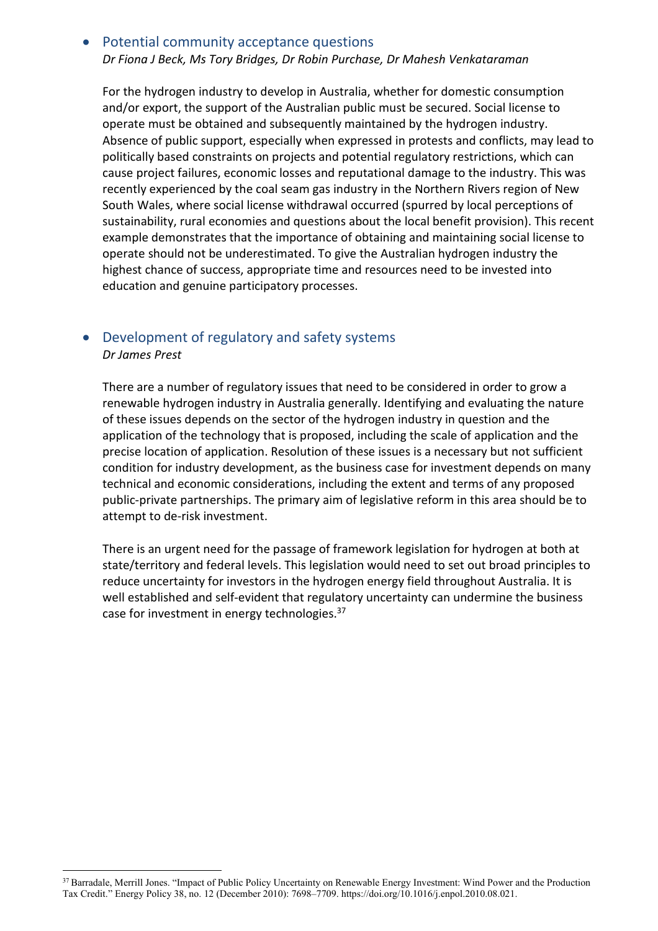#### • Potential community acceptance questions *Dr Fiona J Beck, Ms Tory Bridges, Dr Robin Purchase, Dr Mahesh Venkataraman*

For the hydrogen industry to develop in Australia, whether for domestic consumption and/or export, the support of the Australian public must be secured. Social license to operate must be obtained and subsequently maintained by the hydrogen industry. Absence of public support, especially when expressed in protests and conflicts, may lead to politically based constraints on projects and potential regulatory restrictions, which can cause project failures, economic losses and reputational damage to the industry. This was recently experienced by the coal seam gas industry in the Northern Rivers region of New South Wales, where social license withdrawal occurred (spurred by local perceptions of sustainability, rural economies and questions about the local benefit provision). This recent example demonstrates that the importance of obtaining and maintaining social license to operate should not be underestimated. To give the Australian hydrogen industry the highest chance of success, appropriate time and resources need to be invested into education and genuine participatory processes.

#### • Development of regulatory and safety systems *Dr James Prest*

There are a number of regulatory issues that need to be considered in order to grow a renewable hydrogen industry in Australia generally. Identifying and evaluating the nature of these issues depends on the sector of the hydrogen industry in question and the application of the technology that is proposed, including the scale of application and the precise location of application. Resolution of these issues is a necessary but not sufficient condition for industry development, as the business case for investment depends on many technical and economic considerations, including the extent and terms of any proposed public-private partnerships. The primary aim of legislative reform in this area should be to attempt to de-risk investment.

There is an urgent need for the passage of framework legislation for hydrogen at both at state/territory and federal levels. This legislation would need to set out broad principles to reduce uncertainty for investors in the hydrogen energy field throughout Australia. It is well established and self-evident that regulatory uncertainty can undermine the business case for investment in energy technologies.<sup>37</sup>

<sup>&</sup>lt;sup>37</sup> Barradale, Merrill Jones. "Impact of Public Policy Uncertainty on Renewable Energy Investment: Wind Power and the Production Tax Credit." Energy Policy 38, no. 12 (December 2010): 7698–7709. https://doi.org/10.1016/j.enpol.2010.08.021.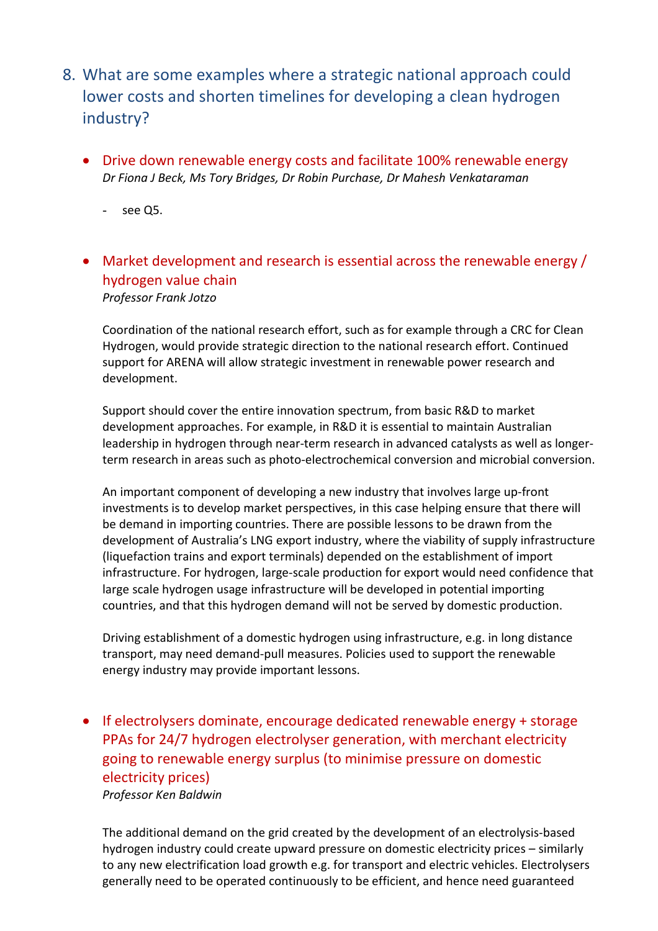- 8. What are some examples where a strategic national approach could lower costs and shorten timelines for developing a clean hydrogen industry?
	- Drive down renewable energy costs and facilitate 100% renewable energy *Dr Fiona J Beck, Ms Tory Bridges, Dr Robin Purchase, Dr Mahesh Venkataraman*
		- see Q5.
	- Market development and research is essential across the renewable energy / hydrogen value chain *Professor Frank Jotzo*

Coordination of the national research effort, such as for example through a CRC for Clean Hydrogen, would provide strategic direction to the national research effort. Continued support for ARENA will allow strategic investment in renewable power research and development.

Support should cover the entire innovation spectrum, from basic R&D to market development approaches. For example, in R&D it is essential to maintain Australian leadership in hydrogen through near-term research in advanced catalysts as well as longerterm research in areas such as photo-electrochemical conversion and microbial conversion.

An important component of developing a new industry that involves large up-front investments is to develop market perspectives, in this case helping ensure that there will be demand in importing countries. There are possible lessons to be drawn from the development of Australia's LNG export industry, where the viability of supply infrastructure (liquefaction trains and export terminals) depended on the establishment of import infrastructure. For hydrogen, large-scale production for export would need confidence that large scale hydrogen usage infrastructure will be developed in potential importing countries, and that this hydrogen demand will not be served by domestic production.

Driving establishment of a domestic hydrogen using infrastructure, e.g. in long distance transport, may need demand-pull measures. Policies used to support the renewable energy industry may provide important lessons.

• If electrolysers dominate, encourage dedicated renewable energy + storage PPAs for 24/7 hydrogen electrolyser generation, with merchant electricity going to renewable energy surplus (to minimise pressure on domestic electricity prices) *Professor Ken Baldwin*

The additional demand on the grid created by the development of an electrolysis-based hydrogen industry could create upward pressure on domestic electricity prices – similarly to any new electrification load growth e.g. for transport and electric vehicles. Electrolysers generally need to be operated continuously to be efficient, and hence need guaranteed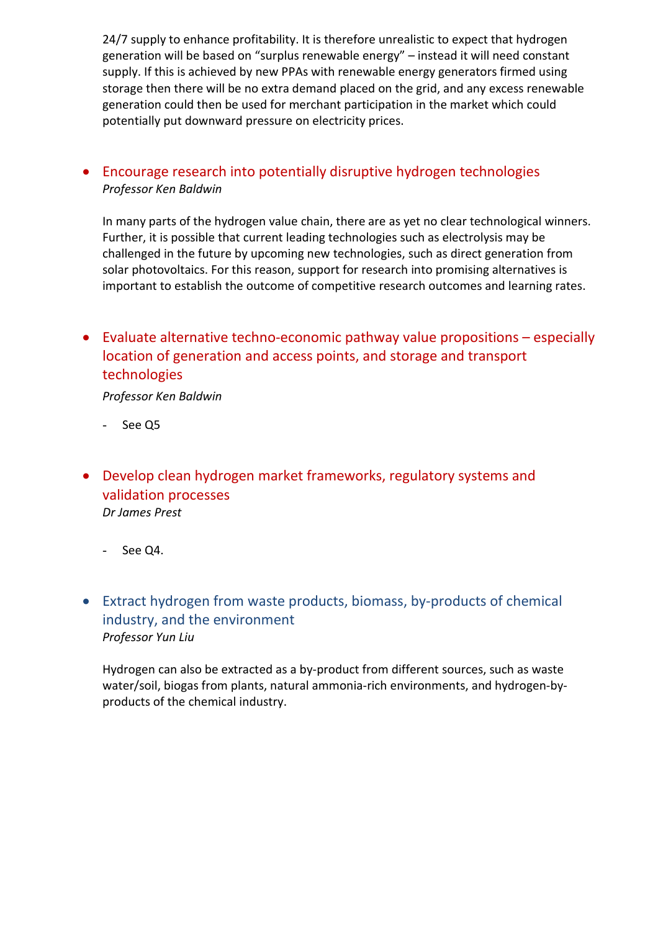24/7 supply to enhance profitability. It is therefore unrealistic to expect that hydrogen generation will be based on "surplus renewable energy" – instead it will need constant supply. If this is achieved by new PPAs with renewable energy generators firmed using storage then there will be no extra demand placed on the grid, and any excess renewable generation could then be used for merchant participation in the market which could potentially put downward pressure on electricity prices.

## • Encourage research into potentially disruptive hydrogen technologies *Professor Ken Baldwin*

In many parts of the hydrogen value chain, there are as yet no clear technological winners. Further, it is possible that current leading technologies such as electrolysis may be challenged in the future by upcoming new technologies, such as direct generation from solar photovoltaics. For this reason, support for research into promising alternatives is important to establish the outcome of competitive research outcomes and learning rates.

• Evaluate alternative techno-economic pathway value propositions – especially location of generation and access points, and storage and transport technologies

*Professor Ken Baldwin*

- See Q5
- Develop clean hydrogen market frameworks, regulatory systems and validation processes *Dr James Prest*
	- See Q4.
- Extract hydrogen from waste products, biomass, by-products of chemical industry, and the environment *Professor Yun Liu*

Hydrogen can also be extracted as a by-product from different sources, such as waste water/soil, biogas from plants, natural ammonia-rich environments, and hydrogen-byproducts of the chemical industry.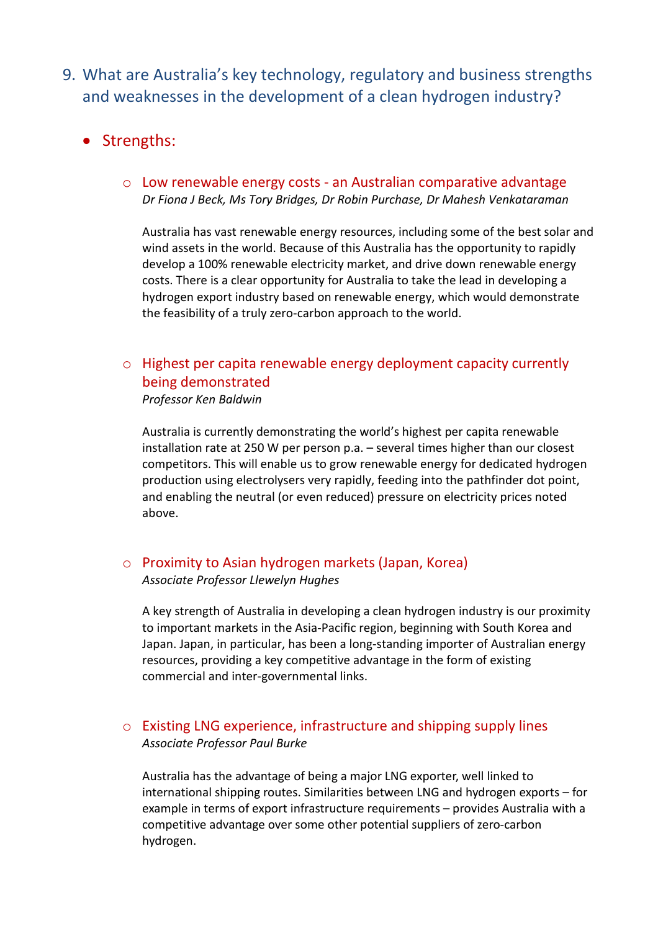- 9. What are Australia's key technology, regulatory and business strengths and weaknesses in the development of a clean hydrogen industry?
	- Strengths:
		- o Low renewable energy costs an Australian comparative advantage *Dr Fiona J Beck, Ms Tory Bridges, Dr Robin Purchase, Dr Mahesh Venkataraman*

Australia has vast renewable energy resources, including some of the best solar and wind assets in the world. Because of this Australia has the opportunity to rapidly develop a 100% renewable electricity market, and drive down renewable energy costs. There is a clear opportunity for Australia to take the lead in developing a hydrogen export industry based on renewable energy, which would demonstrate the feasibility of a truly zero-carbon approach to the world.

## o Highest per capita renewable energy deployment capacity currently being demonstrated

*Professor Ken Baldwin*

Australia is currently demonstrating the world's highest per capita renewable installation rate at 250 W per person p.a. – several times higher than our closest competitors. This will enable us to grow renewable energy for dedicated hydrogen production using electrolysers very rapidly, feeding into the pathfinder dot point, and enabling the neutral (or even reduced) pressure on electricity prices noted above.

#### o Proximity to Asian hydrogen markets (Japan, Korea) *Associate Professor Llewelyn Hughes*

A key strength of Australia in developing a clean hydrogen industry is our proximity to important markets in the Asia-Pacific region, beginning with South Korea and Japan. Japan, in particular, has been a long-standing importer of Australian energy resources, providing a key competitive advantage in the form of existing commercial and inter-governmental links.

### o Existing LNG experience, infrastructure and shipping supply lines *Associate Professor Paul Burke*

Australia has the advantage of being a major LNG exporter, well linked to international shipping routes. Similarities between LNG and hydrogen exports – for example in terms of export infrastructure requirements – provides Australia with a competitive advantage over some other potential suppliers of zero-carbon hydrogen.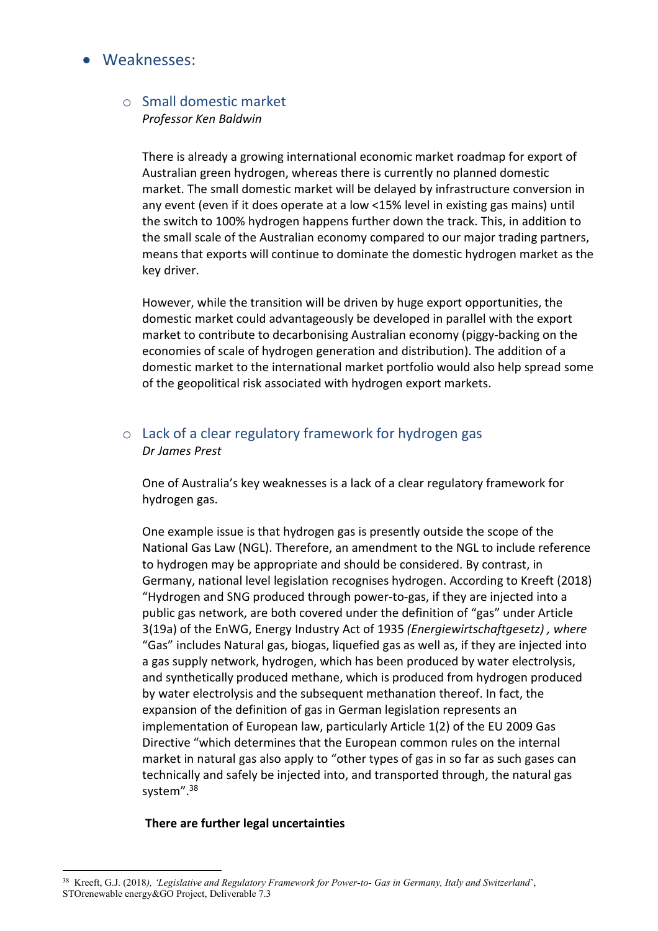## • Weaknesses:

#### o Small domestic market *Professor Ken Baldwin*

There is already a growing international economic market roadmap for export of Australian green hydrogen, whereas there is currently no planned domestic market. The small domestic market will be delayed by infrastructure conversion in any event (even if it does operate at a low <15% level in existing gas mains) until the switch to 100% hydrogen happens further down the track. This, in addition to the small scale of the Australian economy compared to our major trading partners, means that exports will continue to dominate the domestic hydrogen market as the key driver.

However, while the transition will be driven by huge export opportunities, the domestic market could advantageously be developed in parallel with the export market to contribute to decarbonising Australian economy (piggy-backing on the economies of scale of hydrogen generation and distribution). The addition of a domestic market to the international market portfolio would also help spread some of the geopolitical risk associated with hydrogen export markets.

### o Lack of a clear regulatory framework for hydrogen gas *Dr James Prest*

One of Australia's key weaknesses is a lack of a clear regulatory framework for hydrogen gas.

One example issue is that hydrogen gas is presently outside the scope of the National Gas Law (NGL). Therefore, an amendment to the NGL to include reference to hydrogen may be appropriate and should be considered. By contrast, in Germany, national level legislation recognises hydrogen. According to Kreeft (2018) "Hydrogen and SNG produced through power-to-gas, if they are injected into a public gas network, are both covered under the definition of "gas" under Article 3(19a) of the EnWG, Energy Industry Act of 1935 *(Energiewirtschaftgesetz) , where* "Gas" includes Natural gas, biogas, liquefied gas as well as, if they are injected into a gas supply network, hydrogen, which has been produced by water electrolysis, and synthetically produced methane, which is produced from hydrogen produced by water electrolysis and the subsequent methanation thereof. In fact, the expansion of the definition of gas in German legislation represents an implementation of European law, particularly Article 1(2) of the EU 2009 Gas Directive "which determines that the European common rules on the internal market in natural gas also apply to "other types of gas in so far as such gases can technically and safely be injected into, and transported through, the natural gas system".38

#### **There are further legal uncertainties**

 <sup>38</sup> Kreeft, G.J. (2018*), 'Legislative and Regulatory Framework for Power-to- Gas in Germany, Italy and Switzerland*', STOrenewable energy&GO Project, Deliverable 7.3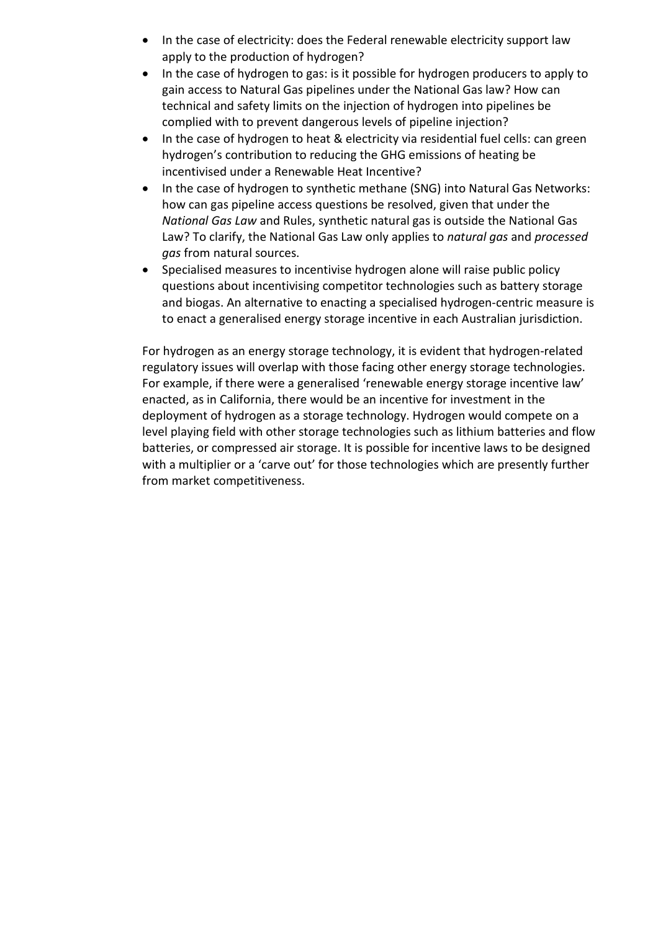- In the case of electricity: does the Federal renewable electricity support law apply to the production of hydrogen?
- In the case of hydrogen to gas: is it possible for hydrogen producers to apply to gain access to Natural Gas pipelines under the National Gas law? How can technical and safety limits on the injection of hydrogen into pipelines be complied with to prevent dangerous levels of pipeline injection?
- In the case of hydrogen to heat & electricity via residential fuel cells: can green hydrogen's contribution to reducing the GHG emissions of heating be incentivised under a Renewable Heat Incentive?
- In the case of hydrogen to synthetic methane (SNG) into Natural Gas Networks: how can gas pipeline access questions be resolved, given that under the *National Gas Law* and Rules, synthetic natural gas is outside the National Gas Law? To clarify, the National Gas Law only applies to *natural gas* and *processed gas* from natural sources.
- Specialised measures to incentivise hydrogen alone will raise public policy questions about incentivising competitor technologies such as battery storage and biogas. An alternative to enacting a specialised hydrogen-centric measure is to enact a generalised energy storage incentive in each Australian jurisdiction.

For hydrogen as an energy storage technology, it is evident that hydrogen-related regulatory issues will overlap with those facing other energy storage technologies. For example, if there were a generalised 'renewable energy storage incentive law' enacted, as in California, there would be an incentive for investment in the deployment of hydrogen as a storage technology. Hydrogen would compete on a level playing field with other storage technologies such as lithium batteries and flow batteries, or compressed air storage. It is possible for incentive laws to be designed with a multiplier or a 'carve out' for those technologies which are presently further from market competitiveness.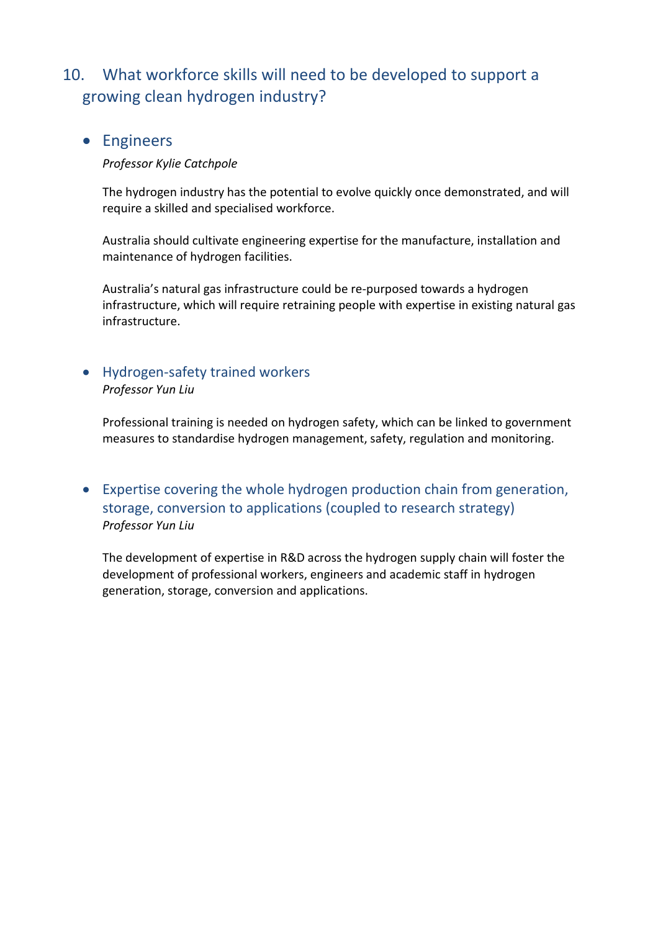## 10. What workforce skills will need to be developed to support a growing clean hydrogen industry?

## • Engineers

#### *Professor Kylie Catchpole*

The hydrogen industry has the potential to evolve quickly once demonstrated, and will require a skilled and specialised workforce.

Australia should cultivate engineering expertise for the manufacture, installation and maintenance of hydrogen facilities.

Australia's natural gas infrastructure could be re-purposed towards a hydrogen infrastructure, which will require retraining people with expertise in existing natural gas infrastructure.

### • Hydrogen-safety trained workers *Professor Yun Liu*

Professional training is needed on hydrogen safety, which can be linked to government measures to standardise hydrogen management, safety, regulation and monitoring.

## • Expertise covering the whole hydrogen production chain from generation, storage, conversion to applications (coupled to research strategy) *Professor Yun Liu*

The development of expertise in R&D across the hydrogen supply chain will foster the development of professional workers, engineers and academic staff in hydrogen generation, storage, conversion and applications.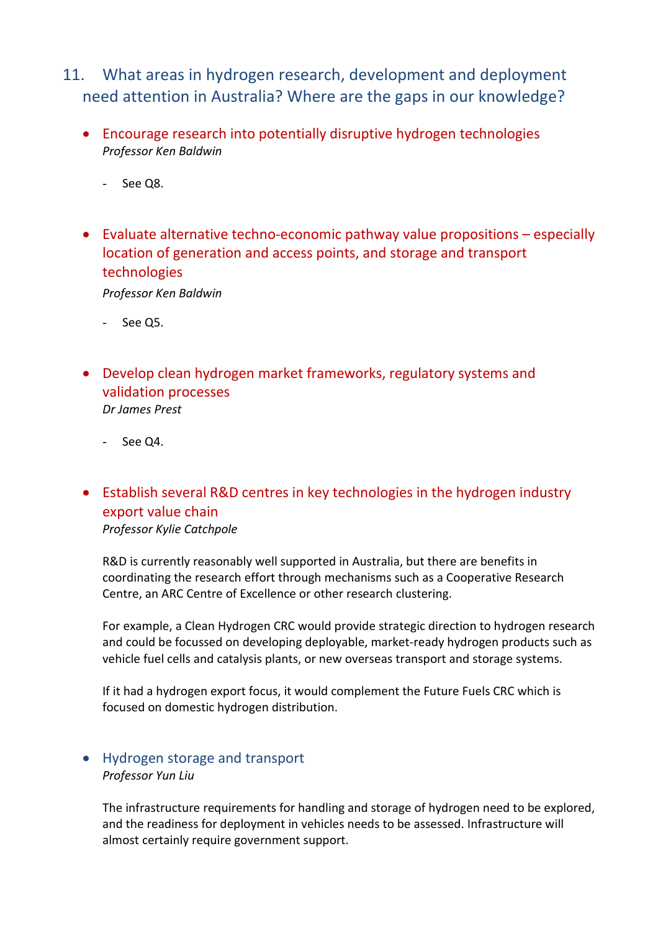- 11. What areas in hydrogen research, development and deployment need attention in Australia? Where are the gaps in our knowledge?
	- Encourage research into potentially disruptive hydrogen technologies *Professor Ken Baldwin*
		- See Q8.
	- Evaluate alternative techno-economic pathway value propositions especially location of generation and access points, and storage and transport technologies

*Professor Ken Baldwin*

- See Q5.
- Develop clean hydrogen market frameworks, regulatory systems and validation processes *Dr James Prest*
	- See Q4.
- Establish several R&D centres in key technologies in the hydrogen industry export value chain *Professor Kylie Catchpole*

R&D is currently reasonably well supported in Australia, but there are benefits in coordinating the research effort through mechanisms such as a Cooperative Research Centre, an ARC Centre of Excellence or other research clustering.

For example, a Clean Hydrogen CRC would provide strategic direction to hydrogen research and could be focussed on developing deployable, market-ready hydrogen products such as vehicle fuel cells and catalysis plants, or new overseas transport and storage systems.

If it had a hydrogen export focus, it would complement the Future Fuels CRC which is focused on domestic hydrogen distribution.

### • Hydrogen storage and transport *Professor Yun Liu*

The infrastructure requirements for handling and storage of hydrogen need to be explored, and the readiness for deployment in vehicles needs to be assessed. Infrastructure will almost certainly require government support.